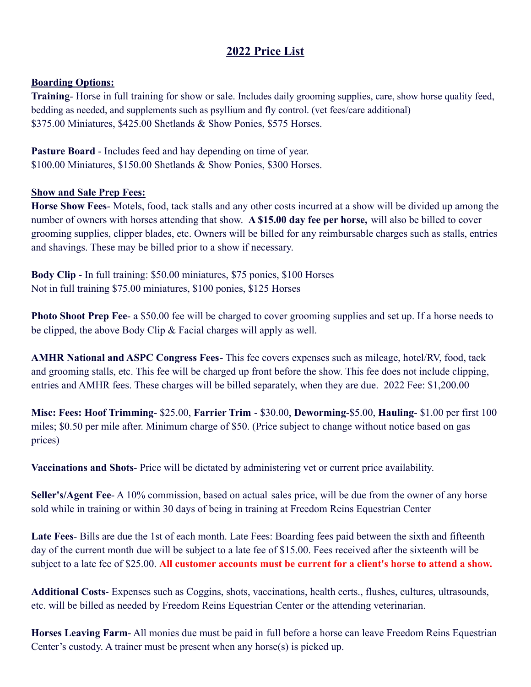## **2022 Price List**

## **Boarding Options:**

**Training**- Horse in full training for show or sale. Includes daily grooming supplies, care, show horse quality feed, bedding as needed, and supplements such as psyllium and fly control. (vet fees/care additional) \$375.00 Miniatures, \$425.00 Shetlands & Show Ponies, \$575 Horses.

**Pasture Board** - Includes feed and hay depending on time of year. \$100.00 Miniatures, \$150.00 Shetlands & Show Ponies, \$300 Horses.

## **Show and Sale Prep Fees:**

**Horse Show Fees**- Motels, food, tack stalls and any other costs incurred at a show will be divided up among the number of owners with horses attending that show. **A \$15.00 day fee per horse,** will also be billed to cover grooming supplies, clipper blades, etc. Owners will be billed for any reimbursable charges such as stalls, entries and shavings. These may be billed prior to a show if necessary.

**Body Clip** - In full training: \$50.00 miniatures, \$75 ponies, \$100 Horses Not in full training \$75.00 miniatures, \$100 ponies, \$125 Horses

**Photo Shoot Prep Fee-** a \$50.00 fee will be charged to cover grooming supplies and set up. If a horse needs to be clipped, the above Body Clip & Facial charges will apply as well.

**AMHR National and ASPC Congress Fees**- This fee covers expenses such as mileage, hotel/RV, food, tack and grooming stalls, etc. This fee will be charged up front before the show. This fee does not include clipping, entries and AMHR fees. These charges will be billed separately, when they are due. 2022 Fee: \$1,200.00

**Misc: Fees: Hoof Trimming**- \$25.00, **Farrier Trim** - \$30.00, **Deworming**-\$5.00, **Hauling**- \$1.00 per first 100 miles; \$0.50 per mile after. Minimum charge of \$50. (Price subject to change without notice based on gas prices)

**Vaccinations and Shots**- Price will be dictated by administering vet or current price availability.

**Seller's/Agent Fee**- A 10% commission, based on actual sales price, will be due from the owner of any horse sold while in training or within 30 days of being in training at Freedom Reins Equestrian Center

**Late Fees**- Bills are due the 1st of each month. Late Fees: Boarding fees paid between the sixth and fifteenth day of the current month due will be subject to a late fee of \$15.00. Fees received after the sixteenth will be subject to a late fee of \$25.00. **All customer accounts must be current for a client's horse to attend a show.**

**Additional Costs**- Expenses such as Coggins, shots, vaccinations, health certs., flushes, cultures, ultrasounds, etc. will be billed as needed by Freedom Reins Equestrian Center or the attending veterinarian.

**Horses Leaving Farm**- All monies due must be paid in full before a horse can leave Freedom Reins Equestrian Center's custody. A trainer must be present when any horse(s) is picked up.